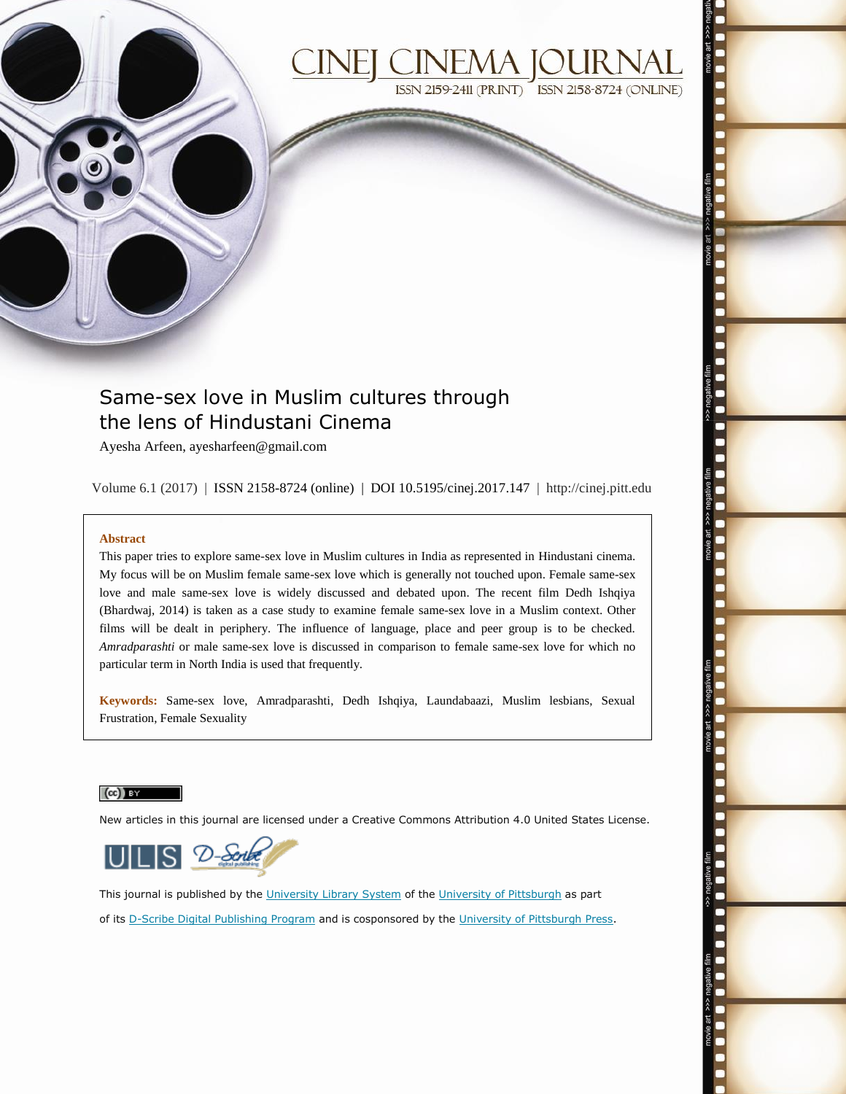

# **ISSN 2159-2411 (PRINT) ISSN 2158-8724 (ONLINE)**

## Same-sex love in Muslim cultures through the lens of Hindustani Cinema

Ayesha Arfeen, ayesharfeen@gmail.com

Volume 6.1 (2017) | ISSN 2158-8724 (online) | DOI 10.5195/cinej.2017.147 | http://cinej.pitt.edu

#### **Abstract**

This paper tries to explore same-sex love in Muslim cultures in India as represented in Hindustani cinema. My focus will be on Muslim female same-sex love which is generally not touched upon. Female same-sex love and male same-sex love is widely discussed and debated upon. The recent film Dedh Ishqiya (Bhardwaj, 2014) is taken as a case study to examine female same-sex love in a Muslim context. Other films will be dealt in periphery. The influence of language, place and peer group is to be checked. *Amradparashti* or male same-sex love is discussed in comparison to female same-sex love for which no particular term in North India is used that frequently.

**Keywords:** Same-sex love, Amradparashti, Dedh Ishqiya, Laundabaazi, Muslim lesbians, Sexual Frustration, Female Sexuality

#### $(cc)$  BY

New articles in this journal are licensed under a Creative Commons Attribution 4.0 United States License.



This journal is published by the [University Library System](http://www.library.pitt.edu/) of th[e University of Pittsburgh](http://www.pitt.edu/) as part of its [D-Scribe Digital Publishing Program](http://www.library.pitt.edu/articles/digpubtype/index.html) and is cosponsored by the [University of Pittsburgh Press.](http://www.upress.pitt.edu/upressIndex.aspx)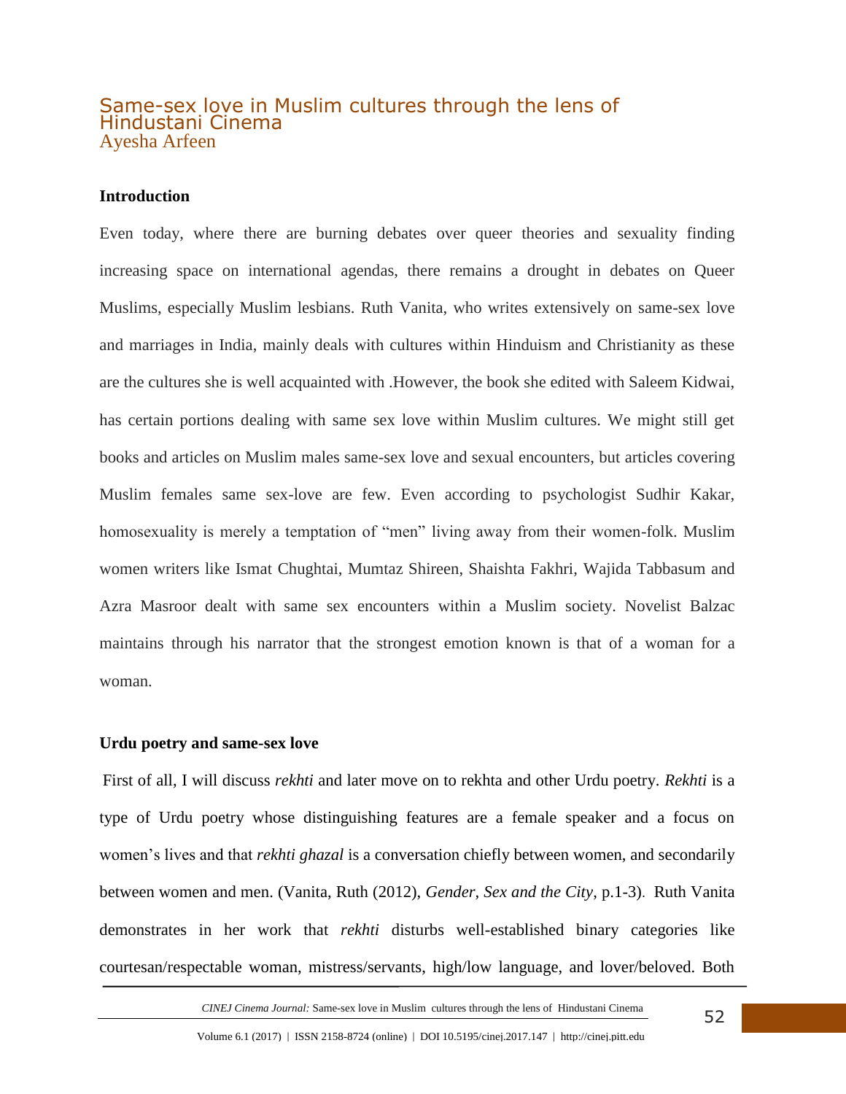## Same-sex love in Muslim cultures through the lens of Hindustani Cinema Ayesha Arfeen

## **Introduction**

Even today, where there are burning debates over queer theories and sexuality finding increasing space on international agendas, there remains a drought in debates on Queer Muslims, especially Muslim lesbians. Ruth Vanita, who writes extensively on same-sex love and marriages in India, mainly deals with cultures within Hinduism and Christianity as these are the cultures she is well acquainted with .However, the book she edited with Saleem Kidwai, has certain portions dealing with same sex love within Muslim cultures. We might still get books and articles on Muslim males same-sex love and sexual encounters, but articles covering Muslim females same sex-love are few. Even according to psychologist Sudhir Kakar, homosexuality is merely a temptation of "men" living away from their women-folk. Muslim women writers like Ismat Chughtai, Mumtaz Shireen, Shaishta Fakhri, Wajida Tabbasum and Azra Masroor dealt with same sex encounters within a Muslim society. Novelist Balzac maintains through his narrator that the strongest emotion known is that of a woman for a woman.

### **Urdu poetry and same-sex love**

 First of all, I will discuss *rekhti* and later move on to rekhta and other Urdu poetry. *Rekhti* is a type of Urdu poetry whose distinguishing features are a female speaker and a focus on women's lives and that *rekhti ghazal* is a conversation chiefly between women, and secondarily between women and men. (Vanita, Ruth (2012), *Gender, Sex and the City*, p.1-3). Ruth Vanita demonstrates in her work that *rekhti* disturbs well-established binary categories like courtesan/respectable woman, mistress/servants, high/low language, and lover/beloved. Both

 *CINEJ Cinema Journal:* Same-sex love in Muslim cultures through the lens of Hindustani Cinema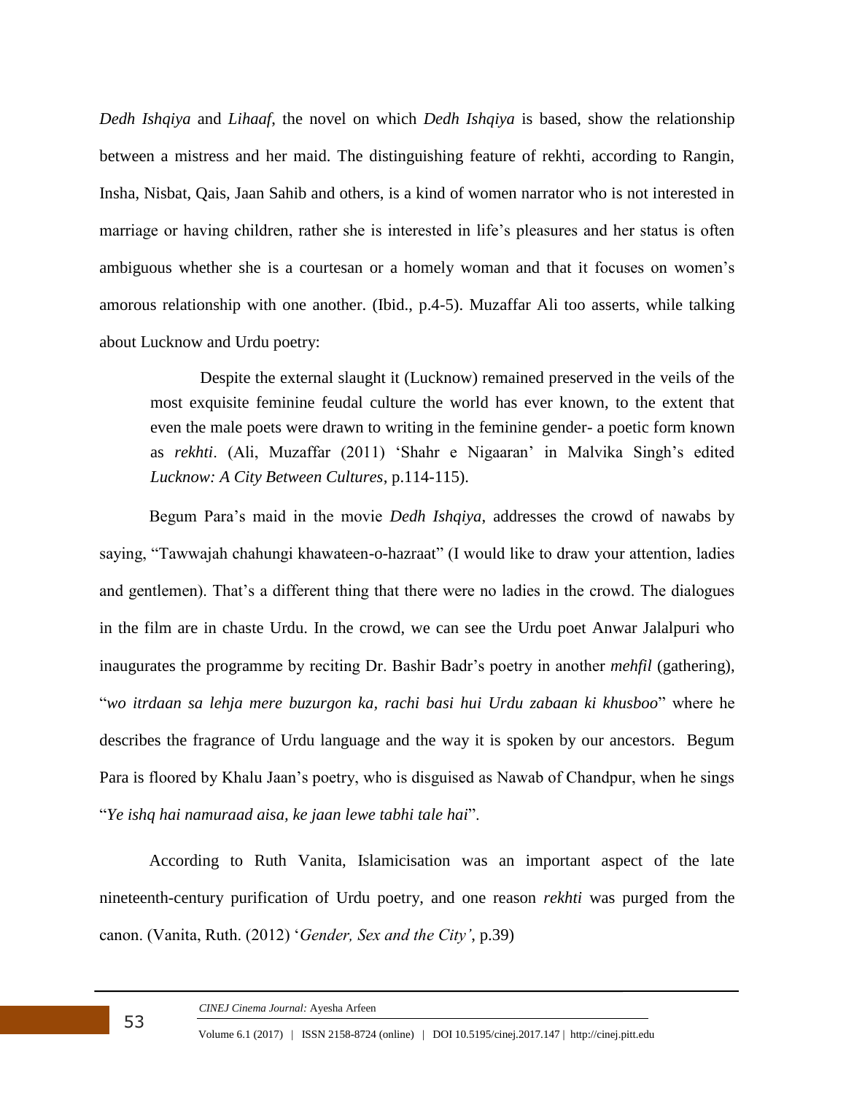*Dedh Ishqiya* and *Lihaaf*, the novel on which *Dedh Ishqiya* is based, show the relationship between a mistress and her maid. The distinguishing feature of rekhti, according to Rangin, Insha, Nisbat, Qais, Jaan Sahib and others, is a kind of women narrator who is not interested in marriage or having children, rather she is interested in life's pleasures and her status is often ambiguous whether she is a courtesan or a homely woman and that it focuses on women's amorous relationship with one another. (Ibid., p.4-5). Muzaffar Ali too asserts, while talking about Lucknow and Urdu poetry:

Despite the external slaught it (Lucknow) remained preserved in the veils of the most exquisite feminine feudal culture the world has ever known, to the extent that even the male poets were drawn to writing in the feminine gender- a poetic form known as *rekhti*. (Ali, Muzaffar (2011) 'Shahr e Nigaaran' in Malvika Singh's edited *Lucknow: A City Between Cultures*, p.114-115).

Begum Para's maid in the movie *Dedh Ishqiya*, addresses the crowd of nawabs by saying, "Tawwajah chahungi khawateen-o-hazraat" (I would like to draw your attention, ladies and gentlemen). That's a different thing that there were no ladies in the crowd. The dialogues in the film are in chaste Urdu. In the crowd, we can see the Urdu poet Anwar Jalalpuri who inaugurates the programme by reciting Dr. Bashir Badr's poetry in another *mehfil* (gathering), "*wo itrdaan sa lehja mere buzurgon ka, rachi basi hui Urdu zabaan ki khusboo*" where he describes the fragrance of Urdu language and the way it is spoken by our ancestors. Begum Para is floored by Khalu Jaan's poetry, who is disguised as Nawab of Chandpur, when he sings "*Ye ishq hai namuraad aisa, ke jaan lewe tabhi tale hai*".

According to Ruth Vanita, Islamicisation was an important aspect of the late nineteenth-century purification of Urdu poetry, and one reason *rekhti* was purged from the canon. (Vanita, Ruth. (2012) '*Gender, Sex and the City'*, p.39)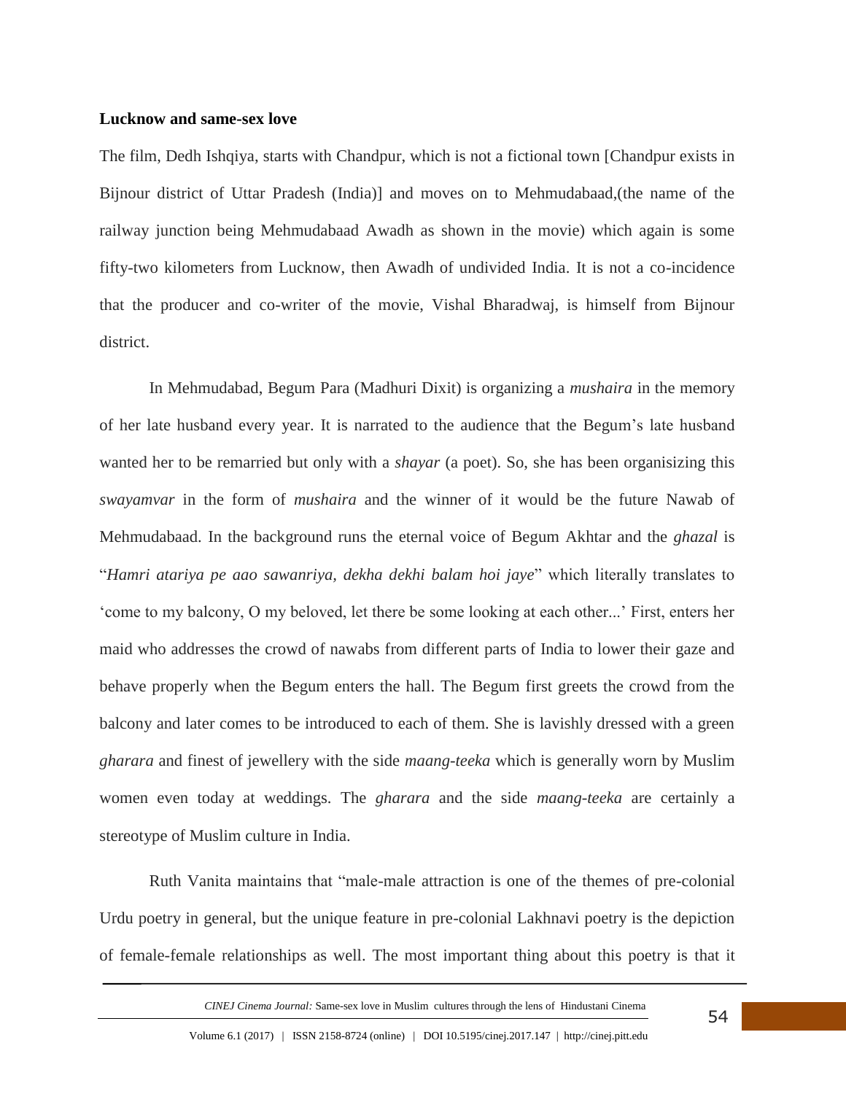### **Lucknow and same-sex love**

The film, Dedh Ishqiya, starts with Chandpur, which is not a fictional town [Chandpur exists in Bijnour district of Uttar Pradesh (India)] and moves on to Mehmudabaad,(the name of the railway junction being Mehmudabaad Awadh as shown in the movie) which again is some fifty-two kilometers from Lucknow, then Awadh of undivided India. It is not a co-incidence that the producer and co-writer of the movie, Vishal Bharadwaj, is himself from Bijnour district.

In Mehmudabad, Begum Para (Madhuri Dixit) is organizing a *mushaira* in the memory of her late husband every year. It is narrated to the audience that the Begum's late husband wanted her to be remarried but only with a *shayar* (a poet). So, she has been organisizing this *swayamvar* in the form of *mushaira* and the winner of it would be the future Nawab of Mehmudabaad. In the background runs the eternal voice of Begum Akhtar and the *ghazal* is "*Hamri atariya pe aao sawanriya, dekha dekhi balam hoi jaye*" which literally translates to 'come to my balcony, O my beloved, let there be some looking at each other...' First, enters her maid who addresses the crowd of nawabs from different parts of India to lower their gaze and behave properly when the Begum enters the hall. The Begum first greets the crowd from the balcony and later comes to be introduced to each of them. She is lavishly dressed with a green *gharara* and finest of jewellery with the side *maang-teeka* which is generally worn by Muslim women even today at weddings. The *gharara* and the side *maang-teeka* are certainly a stereotype of Muslim culture in India.

Ruth Vanita maintains that "male-male attraction is one of the themes of pre-colonial Urdu poetry in general, but the unique feature in pre-colonial Lakhnavi poetry is the depiction of female-female relationships as well. The most important thing about this poetry is that it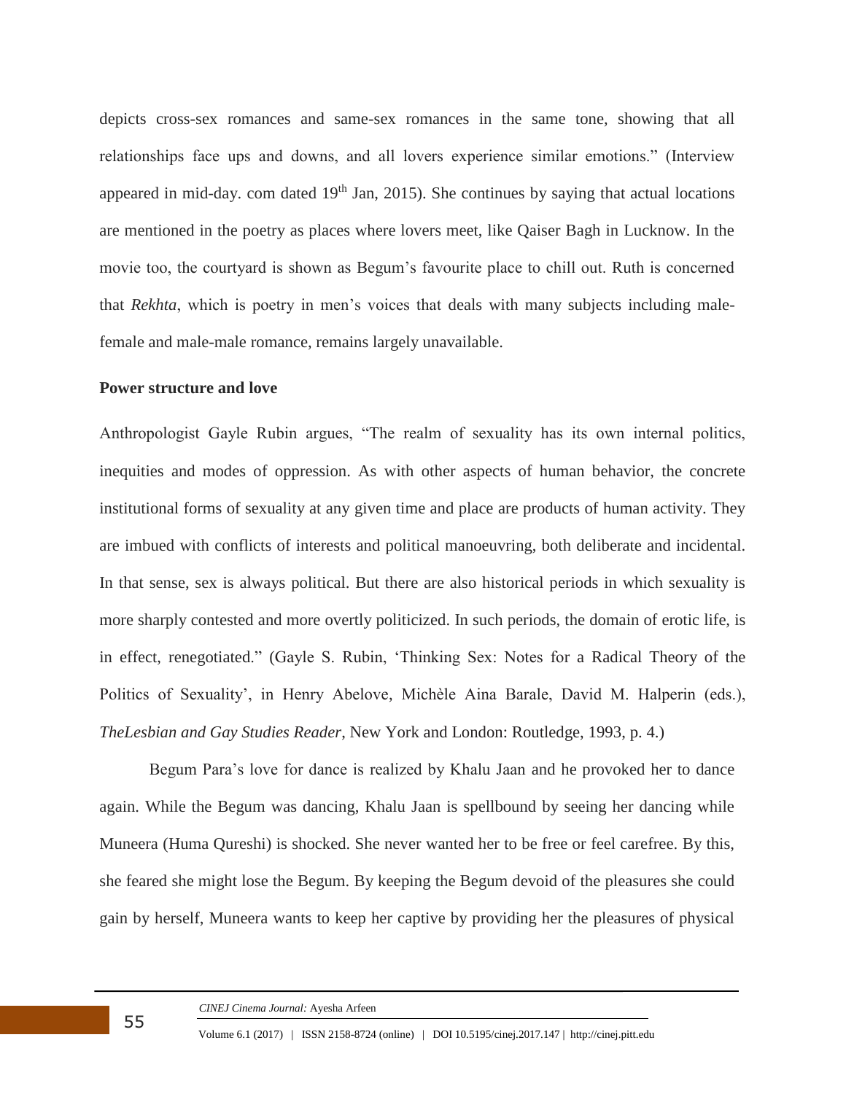depicts cross-sex romances and same-sex romances in the same tone, showing that all relationships face ups and downs, and all lovers experience similar emotions." (Interview appeared in mid-day. com dated 19<sup>th</sup> Jan, 2015). She continues by saying that actual locations are mentioned in the poetry as places where lovers meet, like Qaiser Bagh in Lucknow. In the movie too, the courtyard is shown as Begum's favourite place to chill out. Ruth is concerned that *Rekhta*, which is poetry in men's voices that deals with many subjects including malefemale and male-male romance, remains largely unavailable.

## **Power structure and love**

Anthropologist Gayle Rubin argues, "The realm of sexuality has its own internal politics, inequities and modes of oppression. As with other aspects of human behavior, the concrete institutional forms of sexuality at any given time and place are products of human activity. They are imbued with conflicts of interests and political manoeuvring, both deliberate and incidental. In that sense, sex is always political. But there are also historical periods in which sexuality is more sharply contested and more overtly politicized. In such periods, the domain of erotic life, is in effect, renegotiated." (Gayle S. Rubin, 'Thinking Sex: Notes for a Radical Theory of the Politics of Sexuality', in Henry Abelove, Michèle Aina Barale, David M. Halperin (eds.), *TheLesbian and Gay Studies Reader*, New York and London: Routledge, 1993, p. 4.)

Begum Para's love for dance is realized by Khalu Jaan and he provoked her to dance again. While the Begum was dancing, Khalu Jaan is spellbound by seeing her dancing while Muneera (Huma Qureshi) is shocked. She never wanted her to be free or feel carefree. By this, she feared she might lose the Begum. By keeping the Begum devoid of the pleasures she could gain by herself, Muneera wants to keep her captive by providing her the pleasures of physical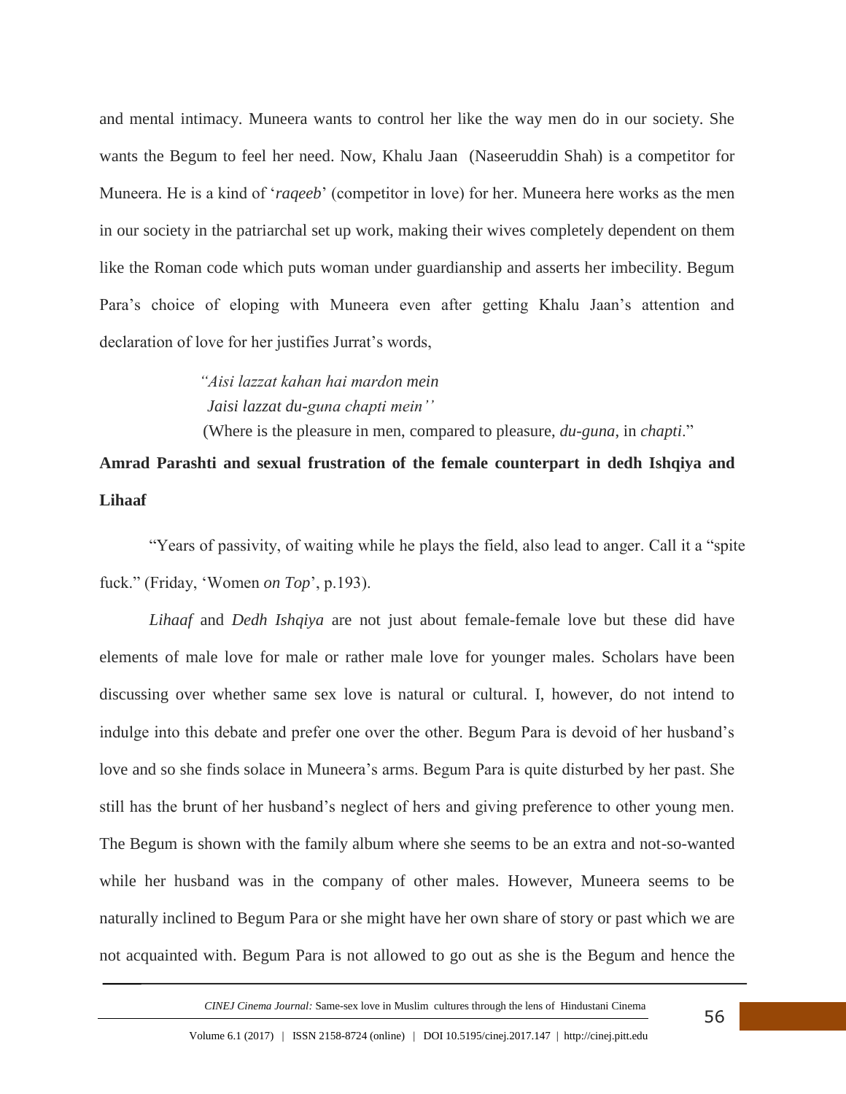and mental intimacy. Muneera wants to control her like the way men do in our society. She wants the Begum to feel her need. Now, Khalu Jaan (Naseeruddin Shah) is a competitor for Muneera. He is a kind of '*raqeeb*' (competitor in love) for her. Muneera here works as the men in our society in the patriarchal set up work, making their wives completely dependent on them like the Roman code which puts woman under guardianship and asserts her imbecility. Begum Para's choice of eloping with Muneera even after getting Khalu Jaan's attention and declaration of love for her justifies Jurrat's words,

> *"Aisi lazzat kahan hai mardon mein Jaisi lazzat du-guna chapti mein''*

(Where is the pleasure in men, compared to pleasure, *du-guna*, in *chapti*."

# **Amrad Parashti and sexual frustration of the female counterpart in dedh Ishqiya and Lihaaf**

"Years of passivity, of waiting while he plays the field, also lead to anger. Call it a "spite fuck." (Friday, 'Women *on Top*', p.193).

*Lihaaf* and *Dedh Ishqiya* are not just about female-female love but these did have elements of male love for male or rather male love for younger males. Scholars have been discussing over whether same sex love is natural or cultural. I, however, do not intend to indulge into this debate and prefer one over the other. Begum Para is devoid of her husband's love and so she finds solace in Muneera's arms. Begum Para is quite disturbed by her past. She still has the brunt of her husband's neglect of hers and giving preference to other young men. The Begum is shown with the family album where she seems to be an extra and not-so-wanted while her husband was in the company of other males. However, Muneera seems to be naturally inclined to Begum Para or she might have her own share of story or past which we are not acquainted with. Begum Para is not allowed to go out as she is the Begum and hence the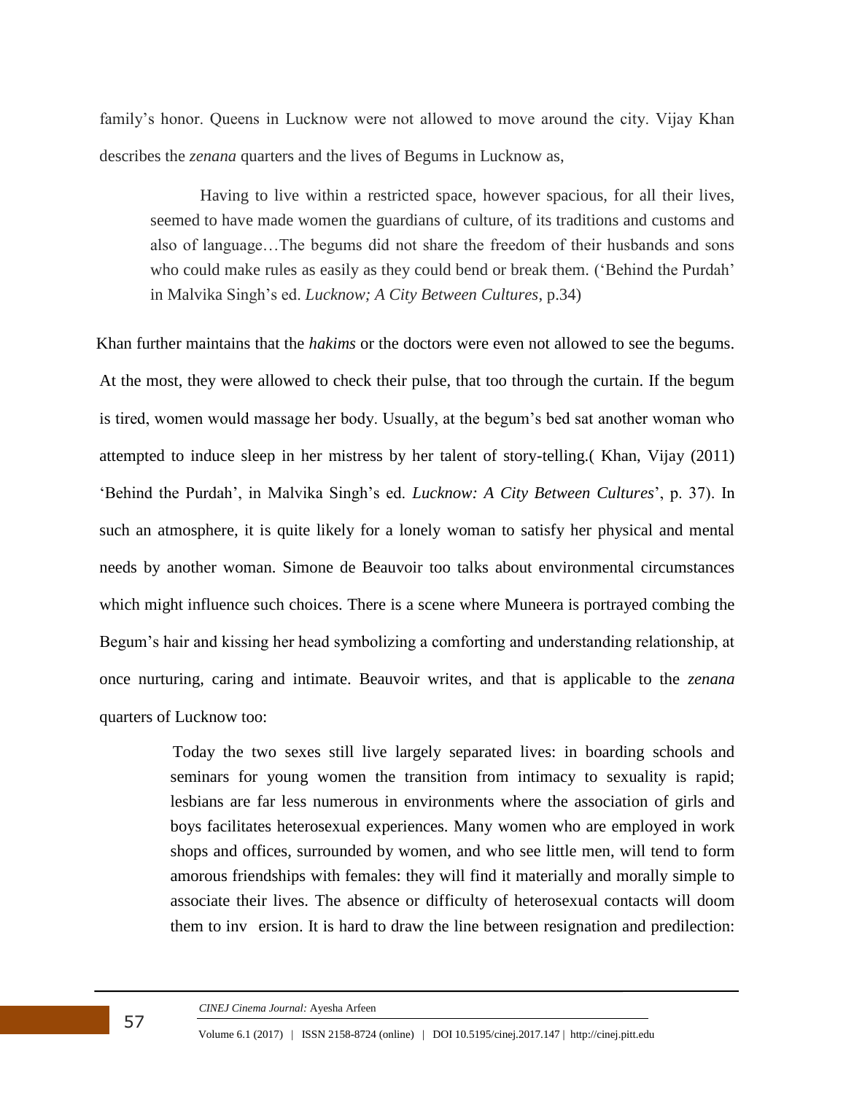family's honor. Queens in Lucknow were not allowed to move around the city. Vijay Khan describes the *zenana* quarters and the lives of Begums in Lucknow as,

Having to live within a restricted space, however spacious, for all their lives, seemed to have made women the guardians of culture, of its traditions and customs and also of language…The begums did not share the freedom of their husbands and sons who could make rules as easily as they could bend or break them. ('Behind the Purdah' in Malvika Singh's ed. *Lucknow; A City Between Cultures*, p.34)

 Khan further maintains that the *hakims* or the doctors were even not allowed to see the begums. At the most, they were allowed to check their pulse, that too through the curtain. If the begum is tired, women would massage her body. Usually, at the begum's bed sat another woman who attempted to induce sleep in her mistress by her talent of story-telling.( Khan, Vijay (2011) 'Behind the Purdah', in Malvika Singh's ed. *Lucknow: A City Between Cultures*', p. 37). In such an atmosphere, it is quite likely for a lonely woman to satisfy her physical and mental needs by another woman. Simone de Beauvoir too talks about environmental circumstances which might influence such choices. There is a scene where Muneera is portrayed combing the Begum's hair and kissing her head symbolizing a comforting and understanding relationship, at once nurturing, caring and intimate. Beauvoir writes, and that is applicable to the *zenana* quarters of Lucknow too:

> Today the two sexes still live largely separated lives: in boarding schools and seminars for young women the transition from intimacy to sexuality is rapid; lesbians are far less numerous in environments where the association of girls and boys facilitates heterosexual experiences. Many women who are employed in work shops and offices, surrounded by women, and who see little men, will tend to form amorous friendships with females: they will find it materially and morally simple to associate their lives. The absence or difficulty of heterosexual contacts will doom them to inv ersion. It is hard to draw the line between resignation and predilection: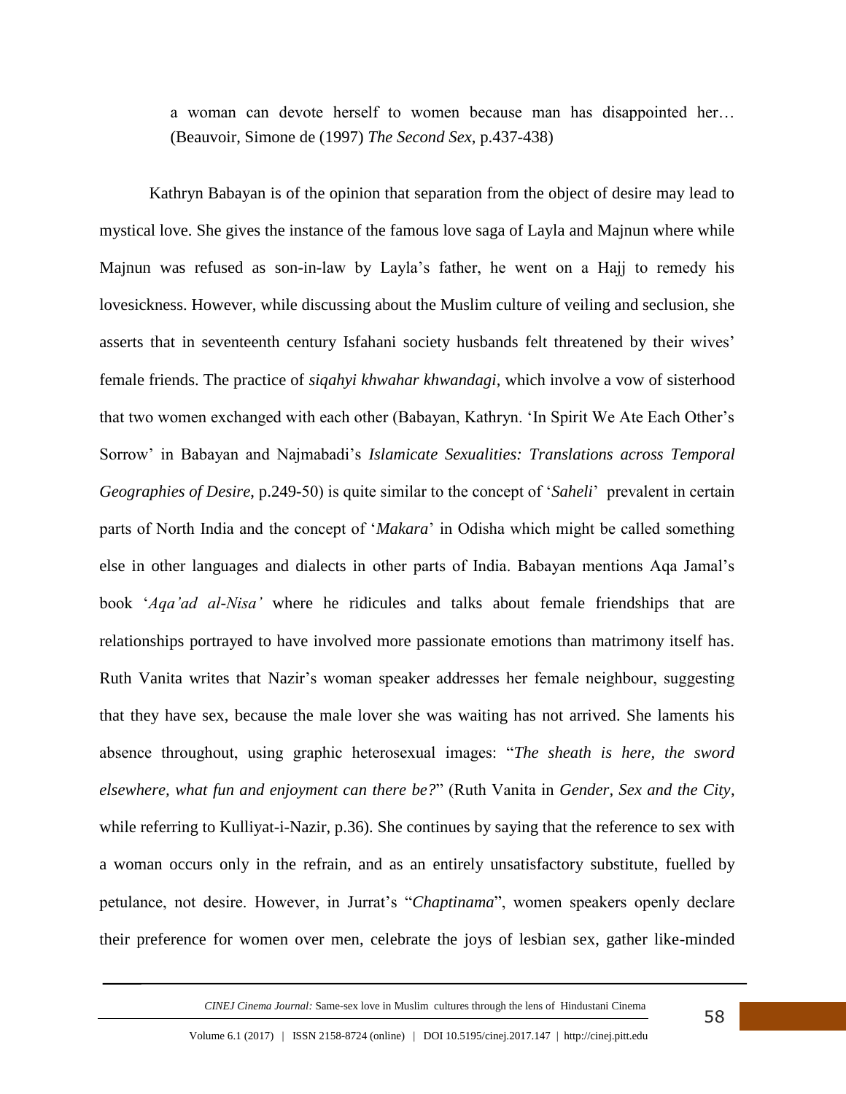a woman can devote herself to women because man has disappointed her… (Beauvoir, Simone de (1997) *The Second Sex*, p.437-438)

Kathryn Babayan is of the opinion that separation from the object of desire may lead to mystical love. She gives the instance of the famous love saga of Layla and Majnun where while Majnun was refused as son-in-law by Layla's father, he went on a Hajj to remedy his lovesickness. However, while discussing about the Muslim culture of veiling and seclusion, she asserts that in seventeenth century Isfahani society husbands felt threatened by their wives' female friends. The practice of *siqahyi khwahar khwandagi*, which involve a vow of sisterhood that two women exchanged with each other (Babayan, Kathryn. 'In Spirit We Ate Each Other's Sorrow' in Babayan and Najmabadi's *Islamicate Sexualities: Translations across Temporal Geographies of Desire*, p.249-50) is quite similar to the concept of '*Saheli*' prevalent in certain parts of North India and the concept of '*Makara*' in Odisha which might be called something else in other languages and dialects in other parts of India. Babayan mentions Aqa Jamal's book '*Aqa'ad al-Nisa'* where he ridicules and talks about female friendships that are relationships portrayed to have involved more passionate emotions than matrimony itself has. Ruth Vanita writes that Nazir's woman speaker addresses her female neighbour, suggesting that they have sex, because the male lover she was waiting has not arrived. She laments his absence throughout, using graphic heterosexual images: "*The sheath is here, the sword elsewhere, what fun and enjoyment can there be?*" (Ruth Vanita in *Gender, Sex and the City*, while referring to Kulliyat-i-Nazir, p.36). She continues by saying that the reference to sex with a woman occurs only in the refrain, and as an entirely unsatisfactory substitute, fuelled by petulance, not desire. However, in Jurrat's "*Chaptinama*", women speakers openly declare their preference for women over men, celebrate the joys of lesbian sex, gather like-minded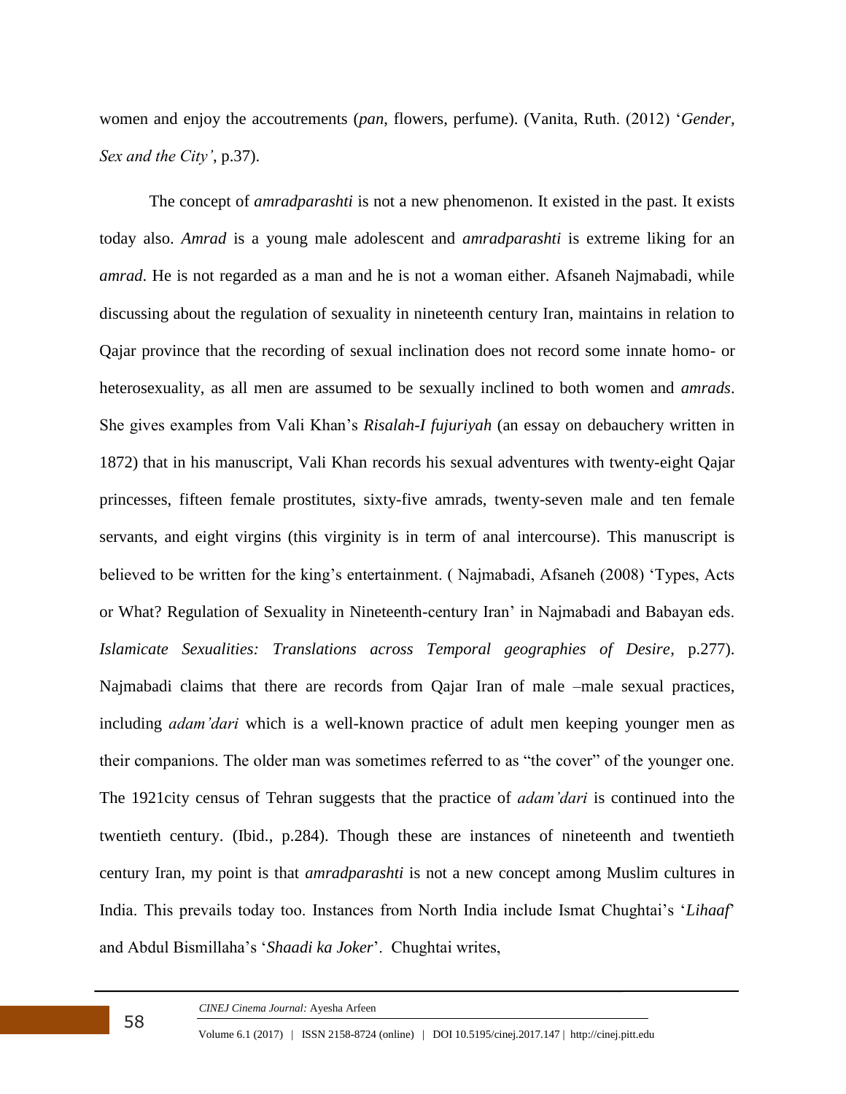women and enjoy the accoutrements (*pan*, flowers, perfume). (Vanita, Ruth. (2012) '*Gender, Sex and the City'*, p.37).

The concept of *amradparashti* is not a new phenomenon. It existed in the past. It exists today also. *Amrad* is a young male adolescent and *amradparashti* is extreme liking for an *amrad*. He is not regarded as a man and he is not a woman either. Afsaneh Najmabadi, while discussing about the regulation of sexuality in nineteenth century Iran, maintains in relation to Qajar province that the recording of sexual inclination does not record some innate homo- or heterosexuality, as all men are assumed to be sexually inclined to both women and *amrads*. She gives examples from Vali Khan's *Risalah-I fujuriyah* (an essay on debauchery written in 1872) that in his manuscript, Vali Khan records his sexual adventures with twenty-eight Qajar princesses, fifteen female prostitutes, sixty-five amrads, twenty-seven male and ten female servants, and eight virgins (this virginity is in term of anal intercourse). This manuscript is believed to be written for the king's entertainment. ( Najmabadi, Afsaneh (2008) 'Types, Acts or What? Regulation of Sexuality in Nineteenth-century Iran' in Najmabadi and Babayan eds. *Islamicate Sexualities: Translations across Temporal geographies of Desire*, p.277). Najmabadi claims that there are records from Qajar Iran of male –male sexual practices, including *adam'dari* which is a well-known practice of adult men keeping younger men as their companions. The older man was sometimes referred to as "the cover" of the younger one. The 1921city census of Tehran suggests that the practice of *adam'dari* is continued into the twentieth century. (Ibid., p.284). Though these are instances of nineteenth and twentieth century Iran, my point is that *amradparashti* is not a new concept among Muslim cultures in India. This prevails today too. Instances from North India include Ismat Chughtai's '*Lihaaf*' and Abdul Bismillaha's '*Shaadi ka Joker*'. Chughtai writes,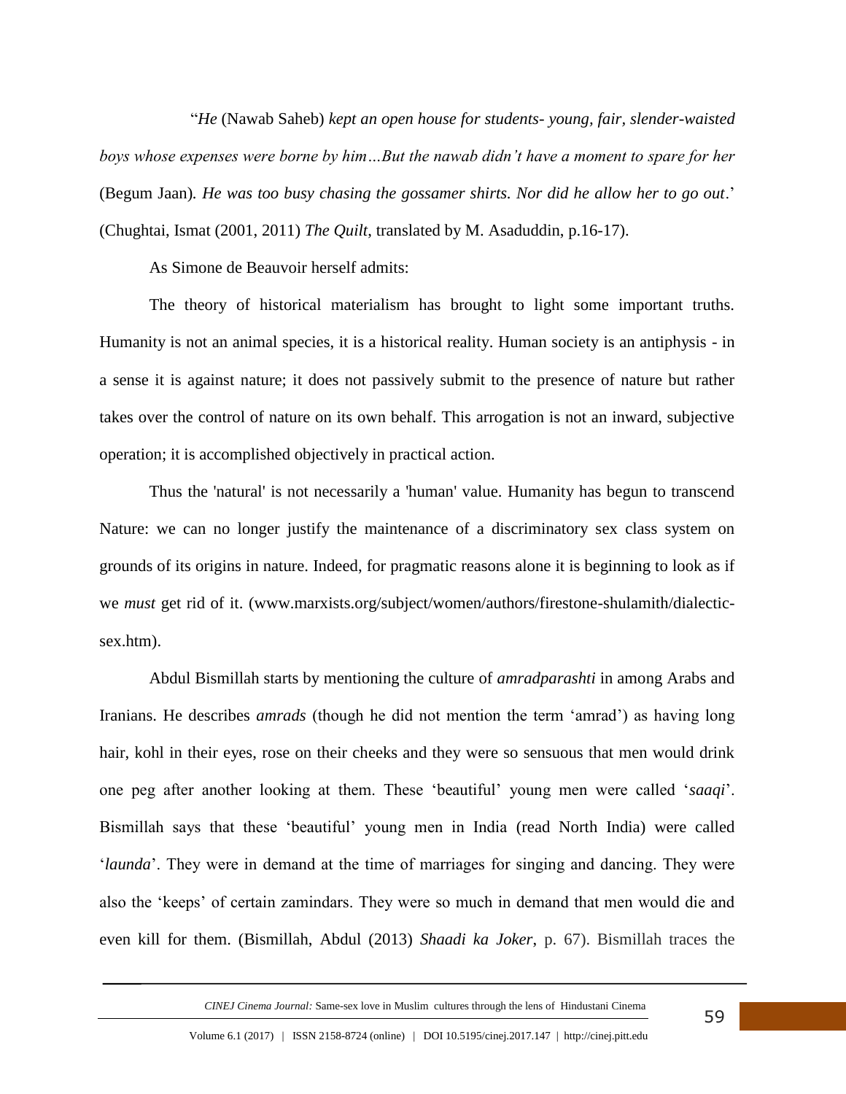"*He* (Nawab Saheb) *kept an open house for students- young, fair, slender-waisted boys whose expenses were borne by him…But the nawab didn't have a moment to spare for her*  (Begum Jaan)*. He was too busy chasing the gossamer shirts. Nor did he allow her to go out*.' (Chughtai, Ismat (2001, 2011) *The Quilt*, translated by M. Asaduddin, p.16-17).

As Simone de Beauvoir herself admits:

The theory of historical materialism has brought to light some important truths. Humanity is not an animal species, it is a historical reality. Human society is an antiphysis - in a sense it is against nature; it does not passively submit to the presence of nature but rather takes over the control of nature on its own behalf. This arrogation is not an inward, subjective operation; it is accomplished objectively in practical action.

Thus the 'natural' is not necessarily a 'human' value. Humanity has begun to transcend Nature: we can no longer justify the maintenance of a discriminatory sex class system on grounds of its origins in nature. Indeed, for pragmatic reasons alone it is beginning to look as if we *must* get rid of it. (www.marxists.org/subject/women/authors/firestone-shulamith/dialecticsex.htm).

Abdul Bismillah starts by mentioning the culture of *amradparashti* in among Arabs and Iranians. He describes *amrads* (though he did not mention the term 'amrad') as having long hair, kohl in their eyes, rose on their cheeks and they were so sensuous that men would drink one peg after another looking at them. These 'beautiful' young men were called '*saaqi*'. Bismillah says that these 'beautiful' young men in India (read North India) were called '*launda*'. They were in demand at the time of marriages for singing and dancing. They were also the 'keeps' of certain zamindars. They were so much in demand that men would die and even kill for them. (Bismillah, Abdul (2013) *Shaadi ka Joker*, p. 67). Bismillah traces the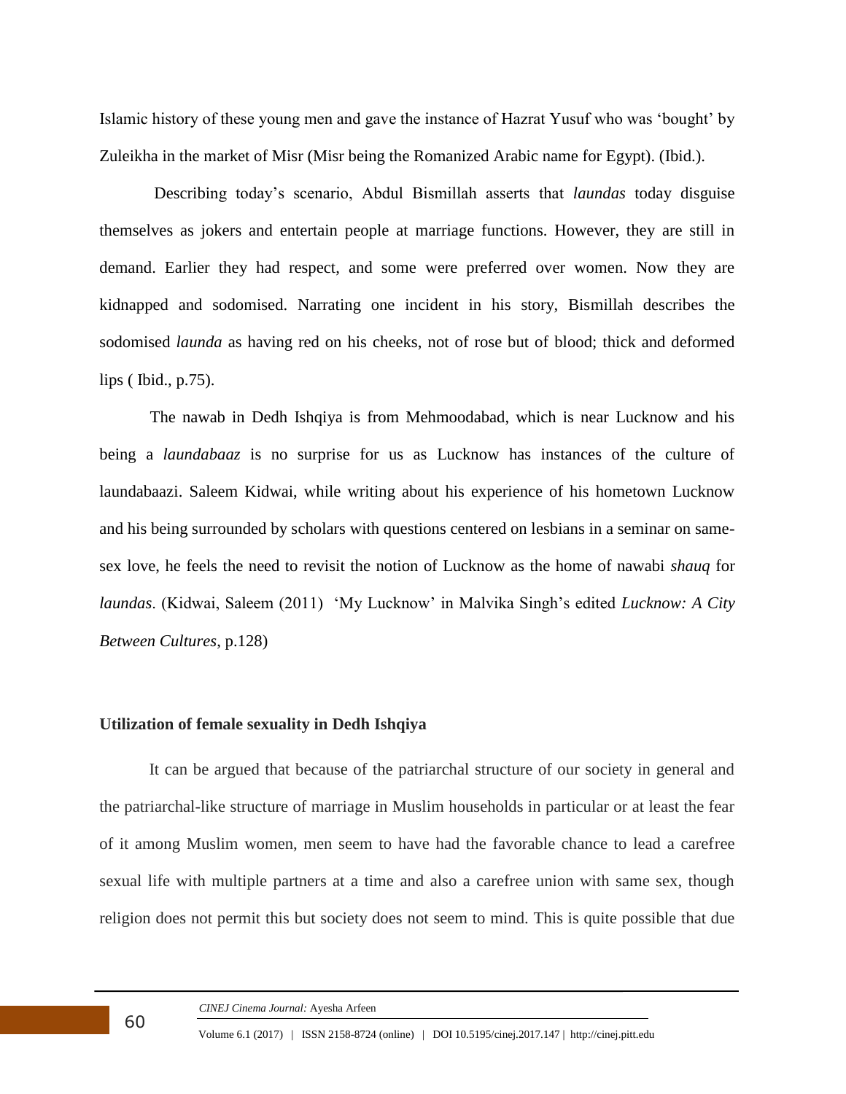Islamic history of these young men and gave the instance of Hazrat Yusuf who was 'bought' by Zuleikha in the market of Misr (Misr being the Romanized Arabic name for Egypt). (Ibid.).

 Describing today's scenario, Abdul Bismillah asserts that *laundas* today disguise themselves as jokers and entertain people at marriage functions. However, they are still in demand. Earlier they had respect, and some were preferred over women. Now they are kidnapped and sodomised. Narrating one incident in his story, Bismillah describes the sodomised *launda* as having red on his cheeks, not of rose but of blood; thick and deformed lips ( Ibid., p.75).

 The nawab in Dedh Ishqiya is from Mehmoodabad, which is near Lucknow and his being a *laundabaaz* is no surprise for us as Lucknow has instances of the culture of laundabaazi. Saleem Kidwai, while writing about his experience of his hometown Lucknow and his being surrounded by scholars with questions centered on lesbians in a seminar on samesex love, he feels the need to revisit the notion of Lucknow as the home of nawabi *shauq* for *laundas*. (Kidwai, Saleem (2011) 'My Lucknow' in Malvika Singh's edited *Lucknow: A City Between Cultures*, p.128)

## **Utilization of female sexuality in Dedh Ishqiya**

It can be argued that because of the patriarchal structure of our society in general and the patriarchal-like structure of marriage in Muslim households in particular or at least the fear of it among Muslim women, men seem to have had the favorable chance to lead a carefree sexual life with multiple partners at a time and also a carefree union with same sex, though religion does not permit this but society does not seem to mind. This is quite possible that due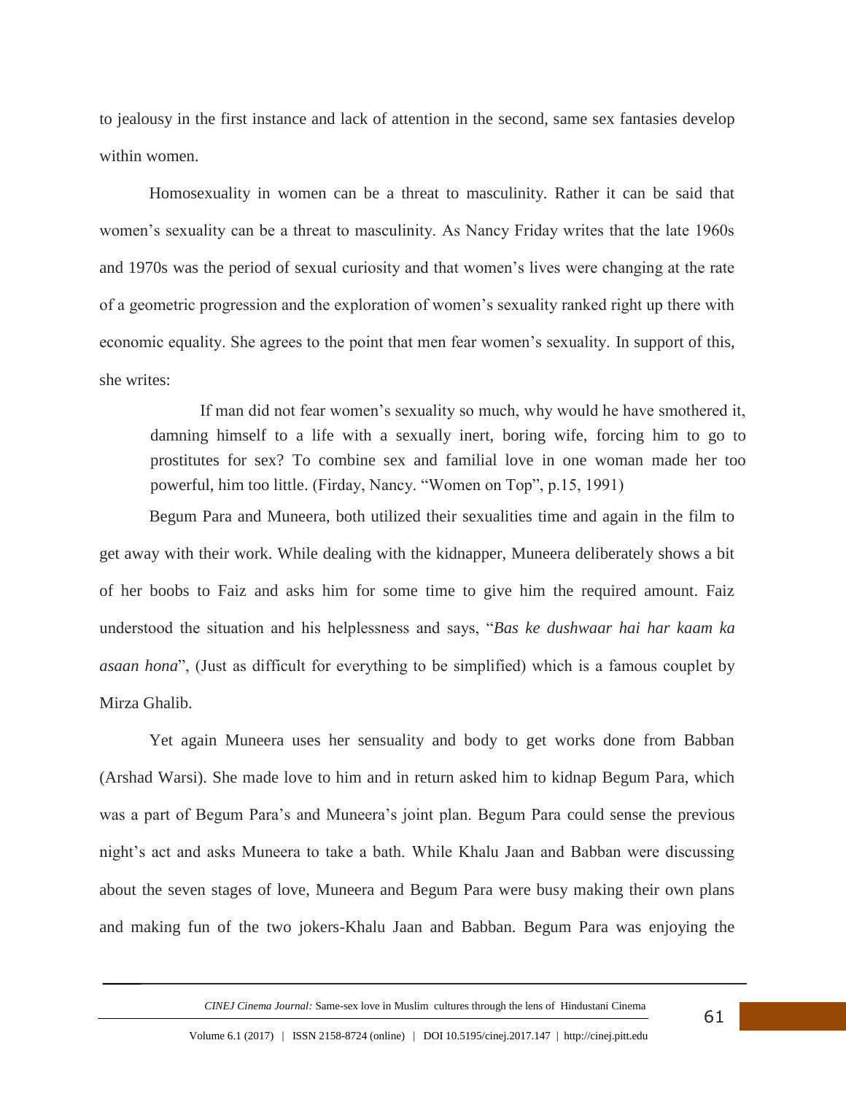to jealousy in the first instance and lack of attention in the second, same sex fantasies develop within women.

Homosexuality in women can be a threat to masculinity. Rather it can be said that women's sexuality can be a threat to masculinity. As Nancy Friday writes that the late 1960s and 1970s was the period of sexual curiosity and that women's lives were changing at the rate of a geometric progression and the exploration of women's sexuality ranked right up there with economic equality. She agrees to the point that men fear women's sexuality. In support of this, she writes:

If man did not fear women's sexuality so much, why would he have smothered it, damning himself to a life with a sexually inert, boring wife, forcing him to go to prostitutes for sex? To combine sex and familial love in one woman made her too powerful, him too little. (Firday, Nancy. "Women on Top", p.15, 1991)

Begum Para and Muneera, both utilized their sexualities time and again in the film to get away with their work. While dealing with the kidnapper, Muneera deliberately shows a bit of her boobs to Faiz and asks him for some time to give him the required amount. Faiz understood the situation and his helplessness and says, "*Bas ke dushwaar hai har kaam ka asaan hona*", (Just as difficult for everything to be simplified) which is a famous couplet by Mirza Ghalib.

Yet again Muneera uses her sensuality and body to get works done from Babban (Arshad Warsi). She made love to him and in return asked him to kidnap Begum Para, which was a part of Begum Para's and Muneera's joint plan. Begum Para could sense the previous night's act and asks Muneera to take a bath. While Khalu Jaan and Babban were discussing about the seven stages of love, Muneera and Begum Para were busy making their own plans and making fun of the two jokers-Khalu Jaan and Babban. Begum Para was enjoying the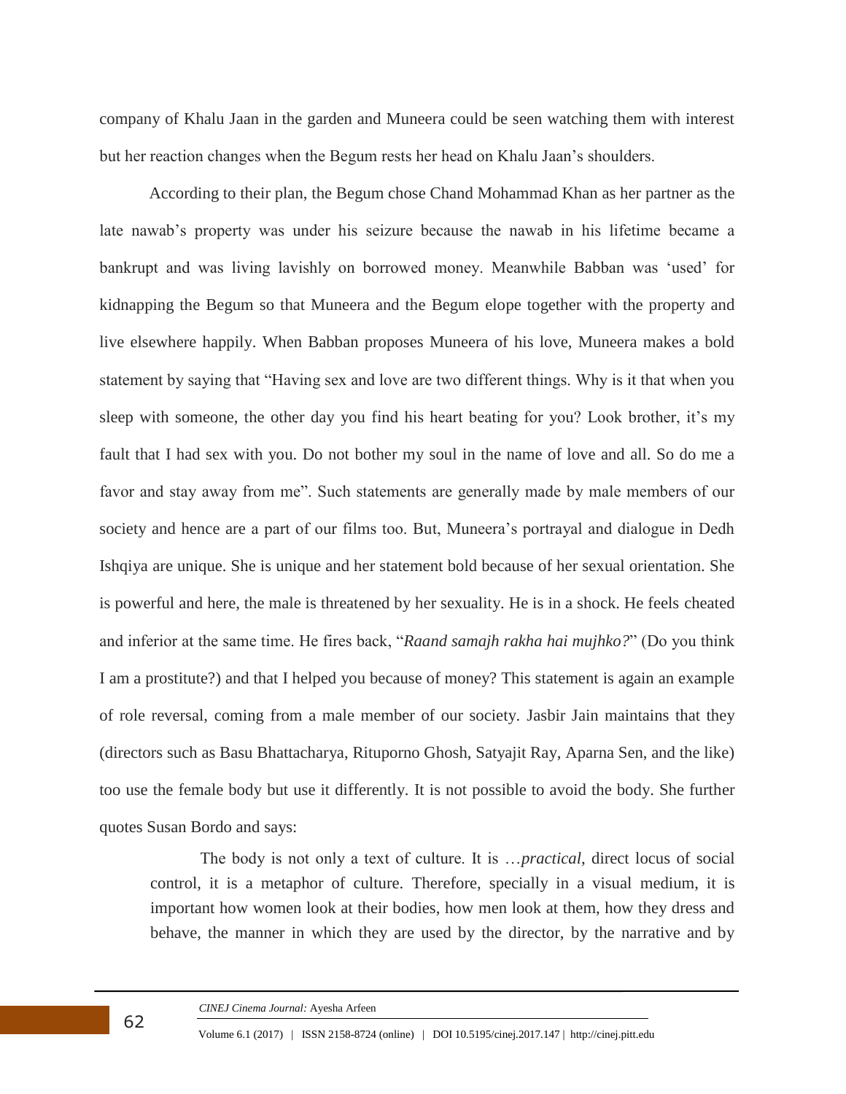company of Khalu Jaan in the garden and Muneera could be seen watching them with interest but her reaction changes when the Begum rests her head on Khalu Jaan's shoulders.

According to their plan, the Begum chose Chand Mohammad Khan as her partner as the late nawab's property was under his seizure because the nawab in his lifetime became a bankrupt and was living lavishly on borrowed money. Meanwhile Babban was 'used' for kidnapping the Begum so that Muneera and the Begum elope together with the property and live elsewhere happily. When Babban proposes Muneera of his love, Muneera makes a bold statement by saying that "Having sex and love are two different things. Why is it that when you sleep with someone, the other day you find his heart beating for you? Look brother, it's my fault that I had sex with you. Do not bother my soul in the name of love and all. So do me a favor and stay away from me". Such statements are generally made by male members of our society and hence are a part of our films too. But, Muneera's portrayal and dialogue in Dedh Ishqiya are unique. She is unique and her statement bold because of her sexual orientation. She is powerful and here, the male is threatened by her sexuality. He is in a shock. He feels cheated and inferior at the same time. He fires back, "*Raand samajh rakha hai mujhko?*" (Do you think I am a prostitute?) and that I helped you because of money? This statement is again an example of role reversal, coming from a male member of our society. Jasbir Jain maintains that they (directors such as Basu Bhattacharya, Rituporno Ghosh, Satyajit Ray, Aparna Sen, and the like) too use the female body but use it differently. It is not possible to avoid the body. She further quotes Susan Bordo and says:

The body is not only a text of culture. It is …*practical*, direct locus of social control, it is a metaphor of culture. Therefore, specially in a visual medium, it is important how women look at their bodies, how men look at them, how they dress and behave, the manner in which they are used by the director, by the narrative and by

*CINEJ Cinema Journal:* Ayesha Arfeen

62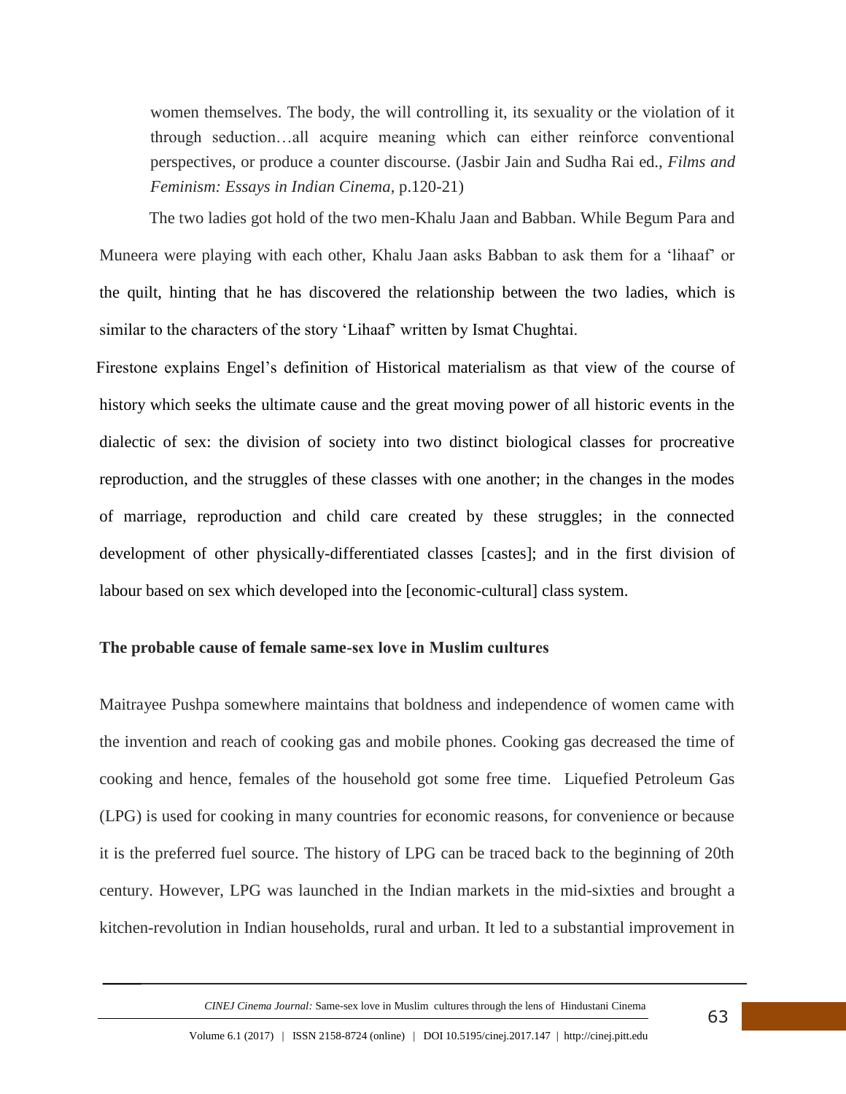women themselves. The body, the will controlling it, its sexuality or the violation of it through seduction…all acquire meaning which can either reinforce conventional perspectives, or produce a counter discourse. (Jasbir Jain and Sudha Rai ed., *Films and Feminism: Essays in Indian Cinema*, p.120-21)

The two ladies got hold of the two men-Khalu Jaan and Babban. While Begum Para and Muneera were playing with each other, Khalu Jaan asks Babban to ask them for a 'lihaaf' or the quilt, hinting that he has discovered the relationship between the two ladies, which is similar to the characters of the story 'Lihaaf' written by Ismat Chughtai.

 Firestone explains Engel's definition of Historical materialism as that view of the course of history which seeks the ultimate cause and the great moving power of all historic events in the dialectic of sex: the division of society into two distinct biological classes for procreative reproduction, and the struggles of these classes with one another; in the changes in the modes of marriage, reproduction and child care created by these struggles; in the connected development of other physically-differentiated classes [castes]; and in the first division of labour based on sex which developed into the [economic-cultural] class system.

## **The probable cause of female same-sex love in Muslim cuıltures**

Maitrayee Pushpa somewhere maintains that boldness and independence of women came with the invention and reach of cooking gas and mobile phones. Cooking gas decreased the time of cooking and hence, females of the household got some free time. Liquefied Petroleum Gas (LPG) is used for cooking in many countries for economic reasons, for convenience or because it is the preferred fuel source. The history of LPG can be traced back to the beginning of 20th century. However, LPG was launched in the Indian markets in the mid-sixties and brought a kitchen-revolution in Indian households, rural and urban. It led to a substantial improvement in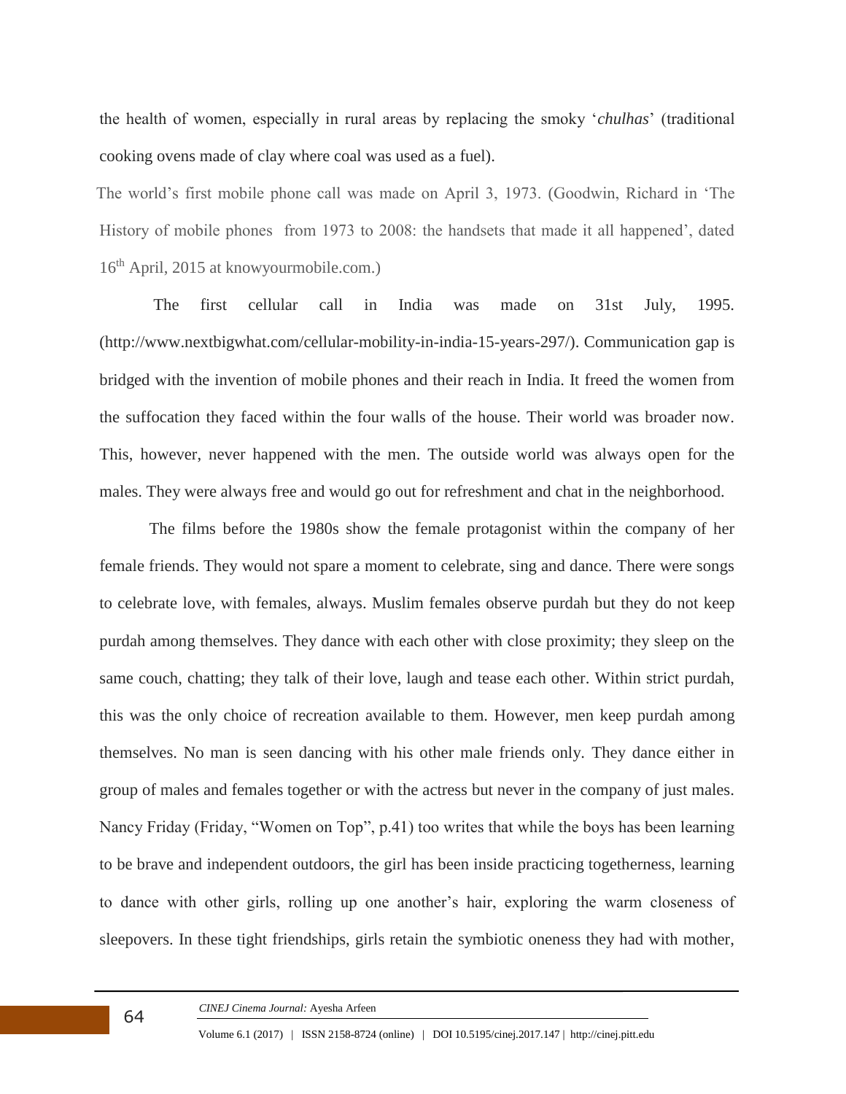the health of women, especially in rural areas by replacing the smoky '*chulhas*' (traditional cooking ovens made of clay where coal was used as a fuel).

 The world's first mobile phone call was made on April 3, 1973. (Goodwin, Richard in 'The History of mobile phones from 1973 to 2008: the handsets that made it all happened', dated 16th April, 2015 at knowyourmobile.com.)

The first cellular call in India was made on 31st July, 1995. (http://www.nextbigwhat.com/cellular-mobility-in-india-15-years-297/). Communication gap is bridged with the invention of mobile phones and their reach in India. It freed the women from the suffocation they faced within the four walls of the house. Their world was broader now. This, however, never happened with the men. The outside world was always open for the males. They were always free and would go out for refreshment and chat in the neighborhood.

The films before the 1980s show the female protagonist within the company of her female friends. They would not spare a moment to celebrate, sing and dance. There were songs to celebrate love, with females, always. Muslim females observe purdah but they do not keep purdah among themselves. They dance with each other with close proximity; they sleep on the same couch, chatting; they talk of their love, laugh and tease each other. Within strict purdah, this was the only choice of recreation available to them. However, men keep purdah among themselves. No man is seen dancing with his other male friends only. They dance either in group of males and females together or with the actress but never in the company of just males. Nancy Friday (Friday, "Women on Top", p.41) too writes that while the boys has been learning to be brave and independent outdoors, the girl has been inside practicing togetherness, learning to dance with other girls, rolling up one another's hair, exploring the warm closeness of sleepovers. In these tight friendships, girls retain the symbiotic oneness they had with mother,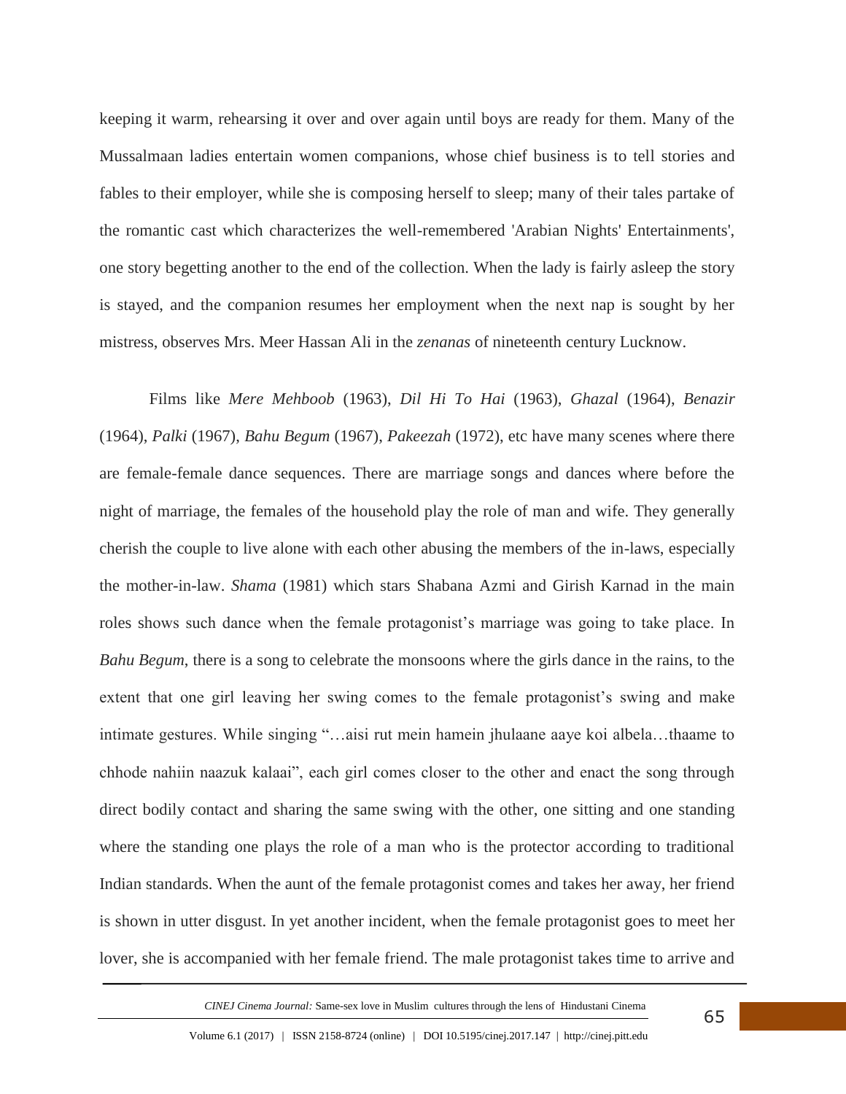keeping it warm, rehearsing it over and over again until boys are ready for them. Many of the Mussalmaan ladies entertain women companions, whose chief business is to tell stories and fables to their employer, while she is composing herself to sleep; many of their tales partake of the romantic cast which characterizes the well-remembered 'Arabian Nights' Entertainments', one story begetting another to the end of the collection. When the lady is fairly asleep the story is stayed, and the companion resumes her employment when the next nap is sought by her mistress, observes Mrs. Meer Hassan Ali in the *zenanas* of nineteenth century Lucknow.

Films like *Mere Mehboob* (1963), *Dil Hi To Hai* (1963), *Ghazal* (1964), *Benazir* (1964), *Palki* (1967), *Bahu Begum* (1967), *Pakeezah* (1972), etc have many scenes where there are female-female dance sequences. There are marriage songs and dances where before the night of marriage, the females of the household play the role of man and wife. They generally cherish the couple to live alone with each other abusing the members of the in-laws, especially the mother-in-law. *Shama* (1981) which stars Shabana Azmi and Girish Karnad in the main roles shows such dance when the female protagonist's marriage was going to take place. In *Bahu Begum*, there is a song to celebrate the monsoons where the girls dance in the rains, to the extent that one girl leaving her swing comes to the female protagonist's swing and make intimate gestures. While singing "…aisi rut mein hamein jhulaane aaye koi albela…thaame to chhode nahiin naazuk kalaai", each girl comes closer to the other and enact the song through direct bodily contact and sharing the same swing with the other, one sitting and one standing where the standing one plays the role of a man who is the protector according to traditional Indian standards. When the aunt of the female protagonist comes and takes her away, her friend is shown in utter disgust. In yet another incident, when the female protagonist goes to meet her lover, she is accompanied with her female friend. The male protagonist takes time to arrive and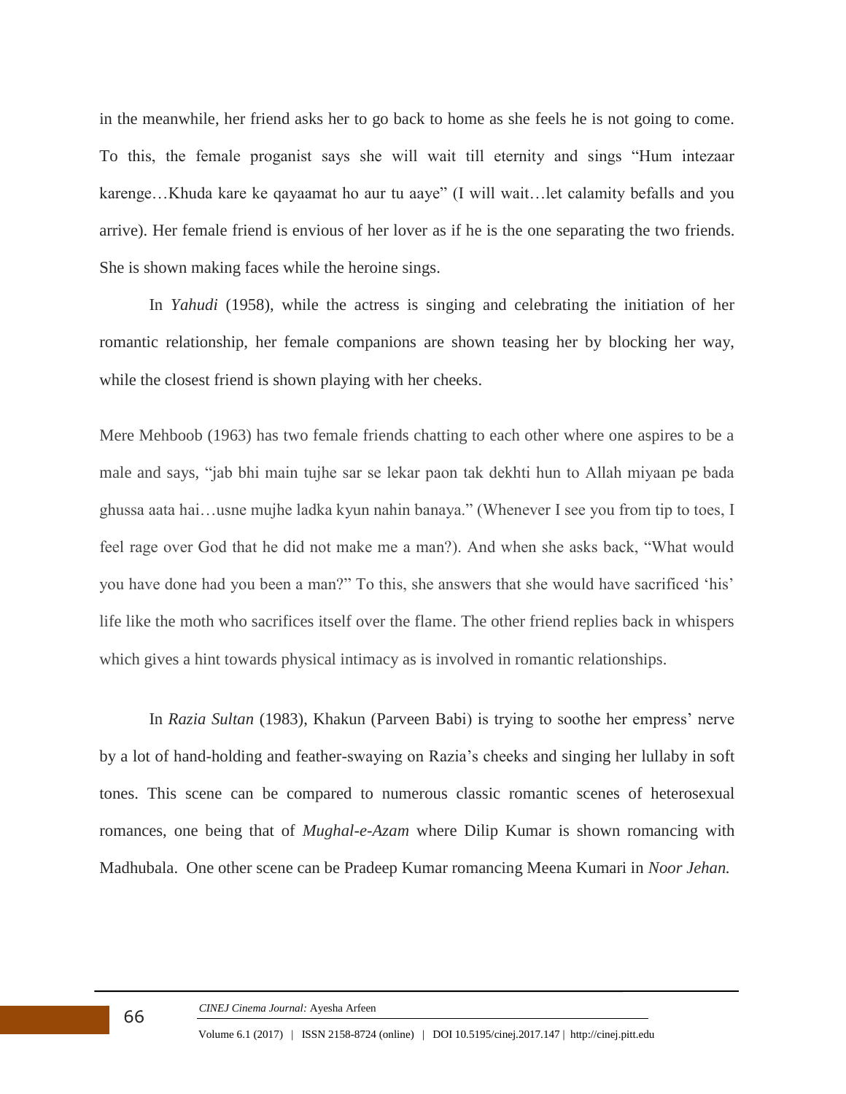in the meanwhile, her friend asks her to go back to home as she feels he is not going to come. To this, the female proganist says she will wait till eternity and sings "Hum intezaar karenge…Khuda kare ke qayaamat ho aur tu aaye" (I will wait…let calamity befalls and you arrive). Her female friend is envious of her lover as if he is the one separating the two friends. She is shown making faces while the heroine sings.

In *Yahudi* (1958), while the actress is singing and celebrating the initiation of her romantic relationship, her female companions are shown teasing her by blocking her way, while the closest friend is shown playing with her cheeks.

Mere Mehboob (1963) has two female friends chatting to each other where one aspires to be a male and says, "jab bhi main tujhe sar se lekar paon tak dekhti hun to Allah miyaan pe bada ghussa aata hai…usne mujhe ladka kyun nahin banaya." (Whenever I see you from tip to toes, I feel rage over God that he did not make me a man?). And when she asks back, "What would you have done had you been a man?" To this, she answers that she would have sacrificed 'his' life like the moth who sacrifices itself over the flame. The other friend replies back in whispers which gives a hint towards physical intimacy as is involved in romantic relationships.

In *Razia Sultan* (1983), Khakun (Parveen Babi) is trying to soothe her empress' nerve by a lot of hand-holding and feather-swaying on Razia's cheeks and singing her lullaby in soft tones. This scene can be compared to numerous classic romantic scenes of heterosexual romances, one being that of *Mughal-e-Azam* where Dilip Kumar is shown romancing with Madhubala. One other scene can be Pradeep Kumar romancing Meena Kumari in *Noor Jehan.*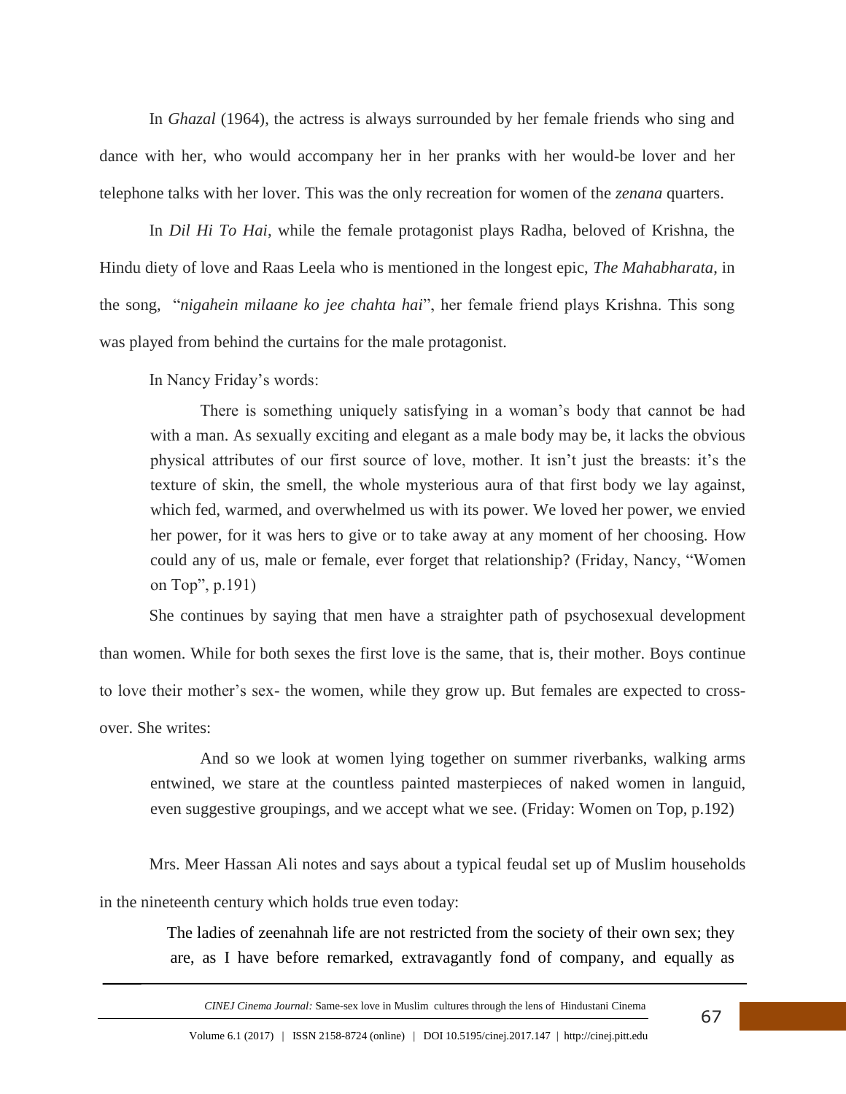In *Ghazal* (1964), the actress is always surrounded by her female friends who sing and dance with her, who would accompany her in her pranks with her would-be lover and her telephone talks with her lover. This was the only recreation for women of the *zenana* quarters.

In *Dil Hi To Hai*, while the female protagonist plays Radha, beloved of Krishna, the Hindu diety of love and Raas Leela who is mentioned in the longest epic, *The Mahabharata*, in the song, "*nigahein milaane ko jee chahta hai*", her female friend plays Krishna. This song was played from behind the curtains for the male protagonist.

In Nancy Friday's words:

There is something uniquely satisfying in a woman's body that cannot be had with a man. As sexually exciting and elegant as a male body may be, it lacks the obvious physical attributes of our first source of love, mother. It isn't just the breasts: it's the texture of skin, the smell, the whole mysterious aura of that first body we lay against, which fed, warmed, and overwhelmed us with its power. We loved her power, we envied her power, for it was hers to give or to take away at any moment of her choosing. How could any of us, male or female, ever forget that relationship? (Friday, Nancy, "Women on Top", p.191)

She continues by saying that men have a straighter path of psychosexual development than women. While for both sexes the first love is the same, that is, their mother. Boys continue to love their mother's sex- the women, while they grow up. But females are expected to crossover. She writes:

And so we look at women lying together on summer riverbanks, walking arms entwined, we stare at the countless painted masterpieces of naked women in languid, even suggestive groupings, and we accept what we see. (Friday: Women on Top, p.192)

Mrs. Meer Hassan Ali notes and says about a typical feudal set up of Muslim households in the nineteenth century which holds true even today:

> The ladies of zeenahnah life are not restricted from the society of their own sex; they are, as I have before remarked, extravagantly fond of company, and equally as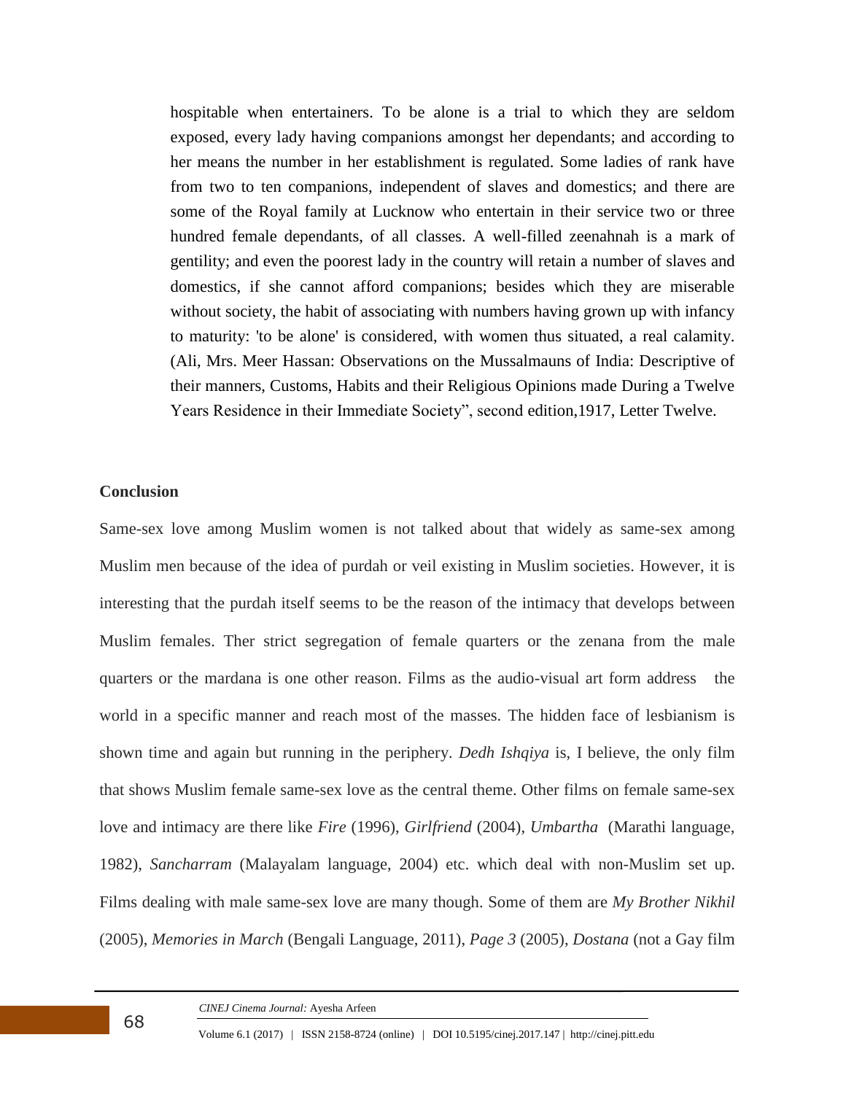hospitable when entertainers. To be alone is a trial to which they are seldom exposed, every lady having companions amongst her dependants; and according to her means the number in her establishment is regulated. Some ladies of rank have from two to ten companions, independent of slaves and domestics; and there are some of the Royal family at Lucknow who entertain in their service two or three hundred female dependants, of all classes. A well-filled zeenahnah is a mark of gentility; and even the poorest lady in the country will retain a number of slaves and domestics, if she cannot afford companions; besides which they are miserable without society, the habit of associating with numbers having grown up with infancy to maturity: 'to be alone' is considered, with women thus situated, a real calamity. (Ali, Mrs. Meer Hassan: Observations on the Mussalmauns of India: Descriptive of their manners, Customs, Habits and their Religious Opinions made During a Twelve Years Residence in their Immediate Society", second edition,1917, Letter Twelve.

### **Conclusion**

Same-sex love among Muslim women is not talked about that widely as same-sex among Muslim men because of the idea of purdah or veil existing in Muslim societies. However, it is interesting that the purdah itself seems to be the reason of the intimacy that develops between Muslim females. Ther strict segregation of female quarters or the zenana from the male quarters or the mardana is one other reason. Films as the audio-visual art form address the world in a specific manner and reach most of the masses. The hidden face of lesbianism is shown time and again but running in the periphery. *Dedh Ishqiya* is, I believe, the only film that shows Muslim female same-sex love as the central theme. Other films on female same-sex love and intimacy are there like *Fire* (1996), *Girlfriend* (2004), *Umbartha* (Marathi language, 1982), *Sancharram* (Malayalam language, 2004) etc. which deal with non-Muslim set up. Films dealing with male same-sex love are many though. Some of them are *My Brother Nikhil* (2005), *Memories in March* (Bengali Language, 2011), *Page 3* (2005), *Dostana* (not a Gay film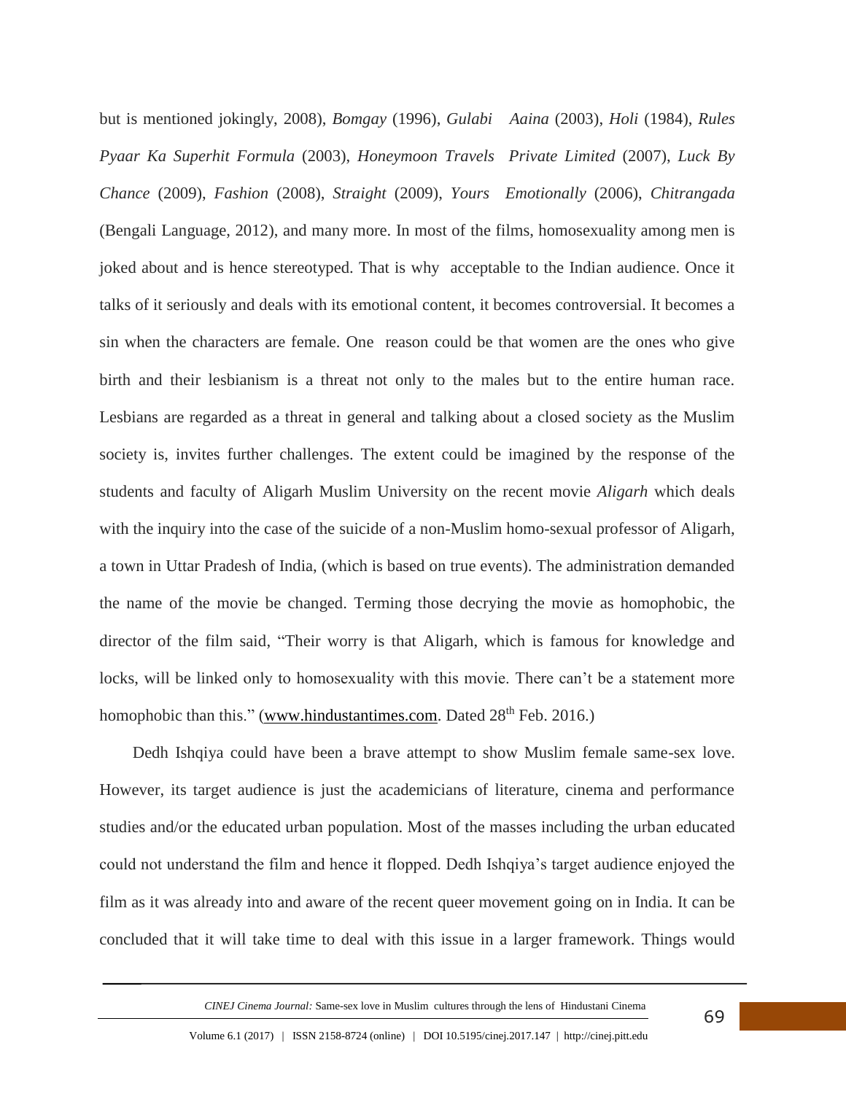but is mentioned jokingly, 2008), *Bomgay* (1996), *Gulabi Aaina* (2003), *Holi* (1984), *Rules Pyaar Ka Superhit Formula* (2003), *Honeymoon Travels Private Limited* (2007), *Luck By Chance* (2009), *Fashion* (2008), *Straight* (2009), *Yours Emotionally* (2006), *Chitrangada* (Bengali Language, 2012), and many more. In most of the films, homosexuality among men is joked about and is hence stereotyped. That is why acceptable to the Indian audience. Once it talks of it seriously and deals with its emotional content, it becomes controversial. It becomes a sin when the characters are female. One reason could be that women are the ones who give birth and their lesbianism is a threat not only to the males but to the entire human race. Lesbians are regarded as a threat in general and talking about a closed society as the Muslim society is, invites further challenges. The extent could be imagined by the response of the students and faculty of Aligarh Muslim University on the recent movie *Aligarh* which deals with the inquiry into the case of the suicide of a non-Muslim homo-sexual professor of Aligarh, a town in Uttar Pradesh of India, (which is based on true events). The administration demanded the name of the movie be changed. Terming those decrying the movie as homophobic, the director of the film said, "Their worry is that Aligarh, which is famous for knowledge and locks, will be linked only to homosexuality with this movie. There can't be a statement more homophobic than this." [\(www.hindustantimes.com.](http://www.hindustantimes.com/) Dated 28<sup>th</sup> Feb. 2016.)

 Dedh Ishqiya could have been a brave attempt to show Muslim female same-sex love. However, its target audience is just the academicians of literature, cinema and performance studies and/or the educated urban population. Most of the masses including the urban educated could not understand the film and hence it flopped. Dedh Ishqiya's target audience enjoyed the film as it was already into and aware of the recent queer movement going on in India. It can be concluded that it will take time to deal with this issue in a larger framework. Things would